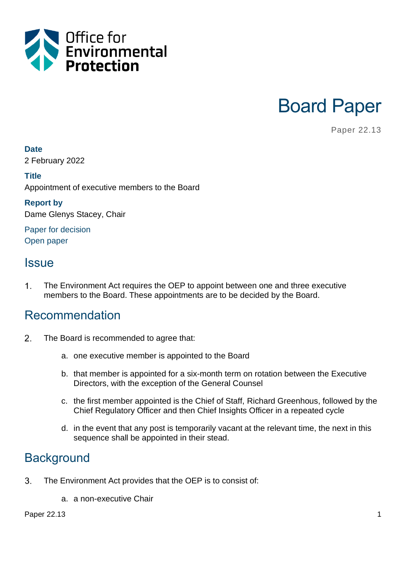



Paper 22.13

#### **Date**

2 February 2022

#### **Title**

Appointment of executive members to the Board

#### **Report by**

Dame Glenys Stacey, Chair

Paper for decision Open paper

### **Issue**

 $\mathbf 1$ . The Environment Act requires the OEP to appoint between one and three executive members to the Board. These appointments are to be decided by the Board.

### Recommendation

- $2.$ The Board is recommended to agree that:
	- a. one executive member is appointed to the Board
	- b. that member is appointed for a six-month term on rotation between the Executive Directors, with the exception of the General Counsel
	- c. the first member appointed is the Chief of Staff, Richard Greenhous, followed by the Chief Regulatory Officer and then Chief Insights Officer in a repeated cycle
	- d. in the event that any post is temporarily vacant at the relevant time, the next in this sequence shall be appointed in their stead.

## **Background**

- 3. The Environment Act provides that the OEP is to consist of:
	- a. a non-executive Chair

Paper 22.13 **1**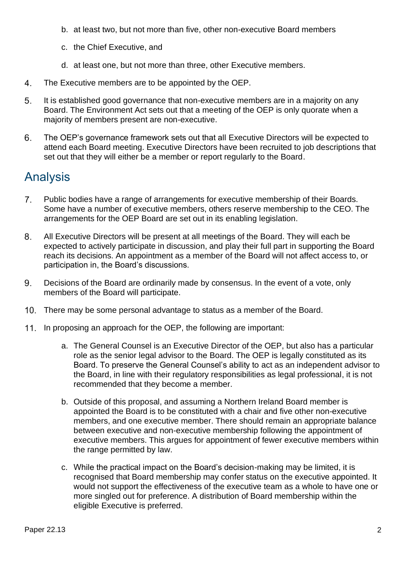- b. at least two, but not more than five, other non-executive Board members
- c. the Chief Executive, and
- d. at least one, but not more than three, other Executive members.
- 4. The Executive members are to be appointed by the OEP.
- 5. It is established good governance that non-executive members are in a majority on any Board. The Environment Act sets out that a meeting of the OEP is only quorate when a majority of members present are non-executive.
- 6. The OEP's governance framework sets out that all Executive Directors will be expected to attend each Board meeting. Executive Directors have been recruited to job descriptions that set out that they will either be a member or report regularly to the Board.

# Analysis

- $7<sub>1</sub>$ Public bodies have a range of arrangements for executive membership of their Boards. Some have a number of executive members, others reserve membership to the CEO. The arrangements for the OEP Board are set out in its enabling legislation.
- 8. All Executive Directors will be present at all meetings of the Board. They will each be expected to actively participate in discussion, and play their full part in supporting the Board reach its decisions. An appointment as a member of the Board will not affect access to, or participation in, the Board's discussions.
- 9. Decisions of the Board are ordinarily made by consensus. In the event of a vote, only members of the Board will participate.
- There may be some personal advantage to status as a member of the Board.
- 11. In proposing an approach for the OEP, the following are important:
	- a. The General Counsel is an Executive Director of the OEP, but also has a particular role as the senior legal advisor to the Board. The OEP is legally constituted as its Board. To preserve the General Counsel's ability to act as an independent advisor to the Board, in line with their regulatory responsibilities as legal professional, it is not recommended that they become a member.
	- b. Outside of this proposal, and assuming a Northern Ireland Board member is appointed the Board is to be constituted with a chair and five other non-executive members, and one executive member. There should remain an appropriate balance between executive and non-executive membership following the appointment of executive members. This argues for appointment of fewer executive members within the range permitted by law.
	- c. While the practical impact on the Board's decision-making may be limited, it is recognised that Board membership may confer status on the executive appointed. It would not support the effectiveness of the executive team as a whole to have one or more singled out for preference. A distribution of Board membership within the eligible Executive is preferred.